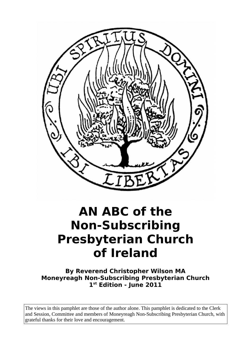

## **AN ABC of the Non-Subscribing Presbyterian Church of Ireland**

**By Reverend Christopher Wilson MA Moneyreagh Non-Subscribing Presbyterian Church 1 st Edition - June 2011**

The views in this pamphlet are those of the author alone. This pamphlet is dedicated to the Clerk and Session, Committee and members of Moneyreagh Non-Subscribing Presbyterian Church, with grateful thanks for their love and encouragement.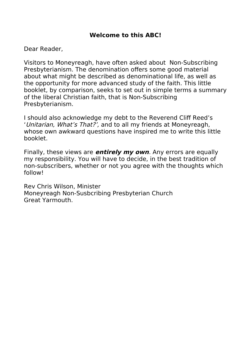## **Welcome to this ABC!**

Dear Reader,

Visitors to Moneyreagh, have often asked about Non-Subscribing Presbyterianism. The denomination offers some good material about what might be described as denominational life, as well as the opportunity for more advanced study of the faith. This little booklet, by comparison, seeks to set out in simple terms a summary of the liberal Christian faith, that is Non-Subscribing Presbyterianism.

I should also acknowledge my debt to the Reverend Cliff Reed's 'Unitarian, What's That?', and to all my friends at Moneyreagh, whose own awkward questions have inspired me to write this little booklet.

Finally, these views are **entirely my own**. Any errors are equally my responsibility. You will have to decide, in the best tradition of non-subscribers, whether or not you agree with the thoughts which follow!

Rev Chris Wilson, Minister Moneyreagh Non-Susbcribing Presbyterian Church Great Yarmouth.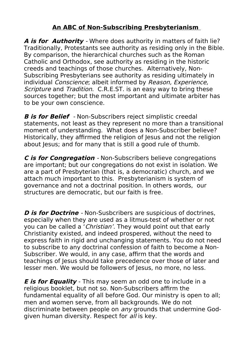## **An ABC of Non-Subscribing Presbyterianism**

**A is for Authority** - Where does authority in matters of faith lie? Traditionally, Protestants see authority as residing only in the Bible. By comparison, the hierarchical churches such as the Roman Catholic and Orthodox, see authority as residing in the historic creeds and teachings of those churches. Alternatively, Non-Subscribing Presbyterians see authority as residing ultimately in individual Conscience; albeit informed by Reason, Experience, Scripture and Tradition. C.R.E.ST. is an easy way to bring these sources together; but the most important and ultimate arbiter has to be your own conscience.

**B is for Belief** - Non-Subscribers reject simplistic creedal statements, not least as they represent no more than a transitional moment of understanding. What does a Non-Subscriber believe? Historically, they affirmed the religion of Jesus and not the religion about Jesus; and for many that is still a good rule of thumb.

**C is for Congregation** - Non-Subscribers believe congregations are important; but our congregations do not exist in isolation. We are a part of Presbyterian (that is, a democratic) church, and we attach much important to this. Presbyterianism is system of governance and not a doctrinal position. In others words, our structures are democratic, but our faith is free.

**D** is for **Doctrine** - Non-Susbcribers are suspicious of doctrines, especially when they are used as a litmus-test of whether or not you can be called a 'Christian'. They would point out that early Christianity existed, and indeed prospered, without the need to express faith in rigid and unchanging statements. You do not need to subscribe to any doctrinal confession of faith to become a Non-Subscriber. We would, in any case, affirm that the words and teachings of Jesus should take precedence over those of later and lesser men. We would be followers of Jesus, no more, no less.

**E is for Equality** - This may seem an odd one to include in a religious booklet, but not so. Non-Subscribers affirm the fundamental equality of all before God. Our ministry is open to all; men and women serve, from all backgrounds. We do not discriminate between people on *any* grounds that undermine Godgiven human diversity. Respect for all is key.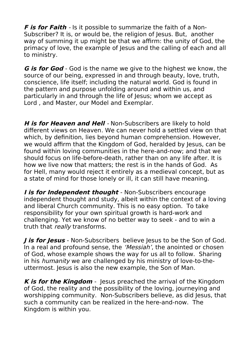**F is for Faith** - Is it possible to summarize the faith of a Non-Subscriber? It is, or would be, the religion of Jesus. But, another way of summing it up might be that we affirm: the unity of God, the primacy of love, the example of Jesus and the calling of each and all to ministry.

**G is for God** - God is the name we give to the highest we know, the source of our being, expressed in and through beauty, love, truth, conscience, life itself; including the natural world. God is found in the pattern and purpose unfolding around and within us, and particularly in and through the life of lesus; whom we accept as Lord , and Master, our Model and Exemplar.

**H is for Heaven and Hell** - Non-Subscribers are likely to hold different views on Heaven. We can never hold a settled view on that which, by definition, lies beyond human comprehension. However, we would affirm that the Kingdom of God, heralded by Jesus, can be found within loving communities in the here-and-now; and that we should focus on life-before-death, rather than on any life after. It is how we live now that matters; the rest is in the hands of God. As for Hell, many would reject it entirely as a medieval concept, but as a state of mind for those lonely or ill, it can still have meaning.

*I* **is for Independent thought** - Non-Subscribers encourage independent thought and study, albeit within the context of a loving and liberal Church community. This is no easy option. To take responsibility for your own spiritual growth is hard-work and challenging. Yet we know of no better way to seek - and to win a truth that *really* transforms.

*J* **is for Jesus** - Non-Subscribers believe Jesus to be the Son of God. In a real and profound sense, the 'Messiah', the anointed or chosen of God, whose example shows the way for us all to follow. Sharing in his humanity we are challenged by his ministry of love-to-theuttermost. Jesus is also the new example, the Son of Man.

**K is for the Kingdom** - Jesus preached the arrival of the Kingdom of God, the reality and the possibility of the loving, journeying and worshipping community. Non-Subscribers believe, as did Jesus, that such a community can be realized in the here-and-now. The Kingdom is within you.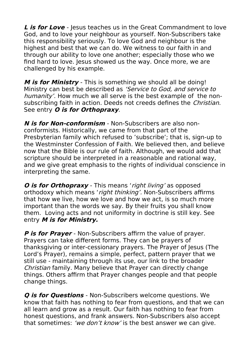**L** is for Love - lesus teaches us in the Great Commandment to love God, and to love your neighbour as yourself. Non-Subscribers take this responsibility seriously. To love God and neighbour is the highest and best that we can do. We witness to our faith in and through our ability to love one another; especially those who we find hard to love. Jesus showed us the way. Once more, we are challenged by his example.

**M is for Ministry** - This is something we should all be doing! Ministry can best be described as 'Service to God, and service to humanity'. How much we all serve is the best example of the nonsubscribing faith in action. Deeds not creeds defines the *Christian*. See entry **O is for Orthopraxy**.

**N is for Non-conformism** - Non-Subscribers are also nonconformists. Historically, we came from that part of the Presbyterian family which refused to 'subscribe'; that is, sign-up to the Westminster Confession of Faith. We believed then, and believe now that the Bible is our rule of faith. Although, we would add that scripture should be interpreted in a reasonable and rational way, and we give great emphasis to the rights of individual conscience in interpreting the same.

**O is for Orthopraxy** - This means 'right living' as opposed orthodoxy which means 'right thinking'. Non-Subscribers affirms that how we live, how we love and how we act, is so much more important than the words we say. By their fruits you shall know them. Loving acts and not uniformity in doctrine is still key. See entry **M is for Ministry.**

**P is for Prayer** - Non-Subscribers affirm the value of prayer. Prayers can take different forms. They can be prayers of thanksgiving or inter-cessionary prayers. The Prayer of Jesus (The Lord's Prayer), remains a simple, perfect, pattern prayer that we still use - maintaining through its use, our link to the broader Christian family. Many believe that Prayer can directly change things. Others affirm that Prayer changes people and that people change things.

**Q is for Questions** - Non-Subscribers welcome questions. We know that faith has nothing to fear from questions, and that we can all learn and grow as a result. Our faith has nothing to fear from honest questions, and frank answers. Non-Subscribers also accept that sometimes: 'we don't know' is the best answer we can give.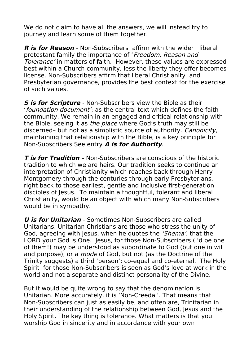We do not claim to have all the answers, we will instead try to journey and learn some of them together.

**R is for Reason** - Non-Subscribers affirm with the wider liberal protestant family the importance of 'Freedom, Reason and Tolerance' in matters of faith. However, these values are expressed best within a Church community, less the liberty they offer becomes license. Non-Subscribers affirm that liberal Christianity and Presbyterian governance, provides the best context for the exercise of such values.

**S is for Scripture** - Non-Subscribers view the Bible as their 'foundation document'; as the central text which defines the faith community. We remain in an engaged and critical relationship with the Bible, seeing it as *the place* where God's truth may still be discerned- but not as a simplistic source of authority. Canonicity, maintaining that relationship with the Bible, is a key principle for Non-Subscribers See entry **A is for Authority**.

**T is for Tradition -** Non-Subscribers are conscious of the historic tradition to which we are heirs. Our tradition seeks to continue an interpretation of Christianity which reaches back through Henry Montgomery through the centuries through early Presbyterians, right back to those earliest, gentle and inclusive first-generation disciples of Jesus. To maintain a thoughtful, tolerant and liberal Christianity, would be an object with which many Non-Subscribers would be in sympathy.

**U is for Unitarian** - Sometimes Non-Subscribers are called Unitarians. Unitarian Christians are those who stress the unity of God, agreeing with Jesus, when he quotes the 'Shema', that the LORD your God is One. Jesus, for those Non-Subscribers (I'd be one of them!) may be understood as subordinate to God (but one in will and purpose), or a *mode* of God, but not (as the Doctrine of the Trinity suggests) a third 'person'; co-equal and co-eternal. The Holy Spirit for those Non-Subscribers is seen as God's love at work in the world and not a separate and distinct personality of the Divine.

But it would be quite wrong to say that the denomination is Unitarian. More accurately, it is 'Non-Creedal'. That means that Non-Subscribers can just as easily be, and often are, Trinitarian in their understanding of the relationship between God, Jesus and the Holy Spirit. The key thing is tolerance. What matters is that you worship God in sincerity and in accordance with your own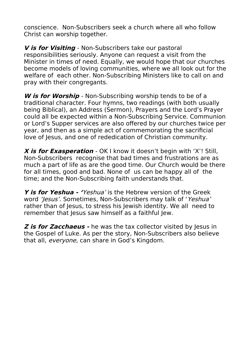conscience. Non-Subscribers seek a church where all who follow Christ can worship together.

**V is for Visiting** - Non-Subscribers take our pastoral responsibilities seriously. Anyone can request a visit from the Minister in times of need. Equally, we would hope that our churches become models of loving communities, where we all look out for the welfare of each other. Non-Subscribing Ministers like to call on and pray with their congregants.

**W is for Worship** - Non-Subscribing worship tends to be of a traditional character. Four hymns, two readings (with both usually being Biblical), an Address (Sermon), Prayers and the Lord's Prayer could all be expected within a Non-Subscribing Service. Communion or Lord's Supper services are also offered by our churches twice per year, and then as a simple act of commemorating the sacrificial love of Jesus, and one of rededication of Christian community.

**X is for Exasperation** - OK I know it doesn't begin with 'X'! Still, Non-Subscribers recognise that bad times and frustrations are as much a part of life as are the good time. Our Church would be there for all times, good and bad. None of us can be happy all of the time; and the Non-Subscribing faith understands that.

**Y is for Yeshua - '**Yeshua' is the Hebrew version of the Greek word 'Jesus'. Sometimes, Non-Subscribers may talk of 'Yeshua' rather than of Jesus, to stress his Jewish identity. We all need to remember that Jesus saw himself as a faithful Jew.

**Z** is for Zacchaeus - he was the tax collector visited by Jesus in the Gospel of Luke. As per the story, Non-Subscribers also believe that all, everyone, can share in God's Kingdom.